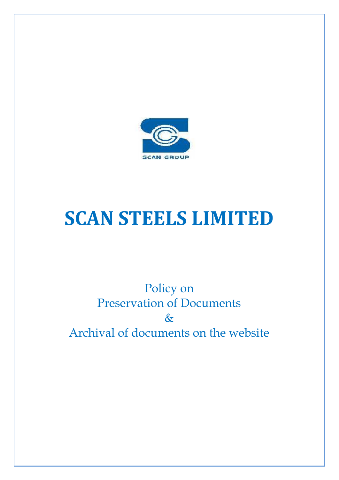

# **SCAN STEELS LIMITED**

## Policy on Preservation of Documents  $\&$ Archival of documents on the website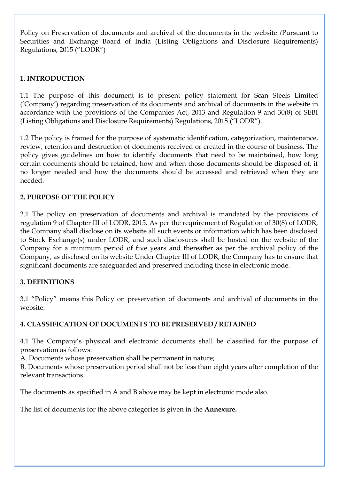Policy on Preservation of documents and archival of the documents in the website *(*Pursuant to Securities and Exchange Board of India (Listing Obligations and Disclosure Requirements) Regulations, 2015 ("LODR")

#### **1. INTRODUCTION**

1.1 The purpose of this document is to present policy statement for Scan Steels Limited ('Company') regarding preservation of its documents and archival of documents in the website in accordance with the provisions of the Companies Act, 2013 and Regulation 9 and 30(8) of SEBI (Listing Obligations and Disclosure Requirements) Regulations, 2015 ("LODR").

1.2 The policy is framed for the purpose of systematic identification, categorization, maintenance, review, retention and destruction of documents received or created in the course of business. The policy gives guidelines on how to identify documents that need to be maintained, how long certain documents should be retained, how and when those documents should be disposed of, if no longer needed and how the documents should be accessed and retrieved when they are needed.

#### **2. PURPOSE OF THE POLICY**

2.1 The policy on preservation of documents and archival is mandated by the provisions of regulation 9 of Chapter III of LODR, 2015. As per the requirement of Regulation of 30(8) of LODR, the Company shall disclose on its website all such events or information which has been disclosed to Stock Exchange(s) under LODR, and such disclosures shall be hosted on the website of the Company for a minimum period of five years and thereafter as per the archival policy of the Company, as disclosed on its website Under Chapter III of LODR, the Company has to ensure that significant documents are safeguarded and preserved including those in electronic mode.

#### **3. DEFINITIONS**

3.1 "Policy" means this Policy on preservation of documents and archival of documents in the website.

#### **4. CLASSIFICATION OF DOCUMENTS TO BE PRESERVED / RETAINED**

4.1 The Company's physical and electronic documents shall be classified for the purpose of preservation as follows:

A. Documents whose preservation shall be permanent in nature;

B. Documents whose preservation period shall not be less than eight years after completion of the relevant transactions.

The documents as specified in A and B above may be kept in electronic mode also.

The list of documents for the above categories is given in the **Annexure.**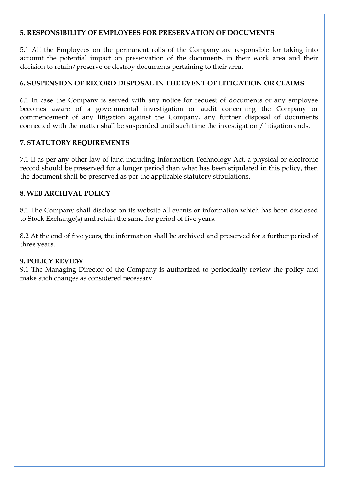#### **5. RESPONSIBILITY OF EMPLOYEES FOR PRESERVATION OF DOCUMENTS**

5.1 All the Employees on the permanent rolls of the Company are responsible for taking into account the potential impact on preservation of the documents in their work area and their decision to retain/preserve or destroy documents pertaining to their area.

#### **6. SUSPENSION OF RECORD DISPOSAL IN THE EVENT OF LITIGATION OR CLAIMS**

6.1 In case the Company is served with any notice for request of documents or any employee becomes aware of a governmental investigation or audit concerning the Company or commencement of any litigation against the Company, any further disposal of documents connected with the matter shall be suspended until such time the investigation / litigation ends.

#### **7. STATUTORY REQUIREMENTS**

7.1 If as per any other law of land including Information Technology Act, a physical or electronic record should be preserved for a longer period than what has been stipulated in this policy, then the document shall be preserved as per the applicable statutory stipulations.

#### **8. WEB ARCHIVAL POLICY**

8.1 The Company shall disclose on its website all events or information which has been disclosed to Stock Exchange(s) and retain the same for period of five years.

8.2 At the end of five years, the information shall be archived and preserved for a further period of three years.

#### **9. POLICY REVIEW**

9.1 The Managing Director of the Company is authorized to periodically review the policy and make such changes as considered necessary.